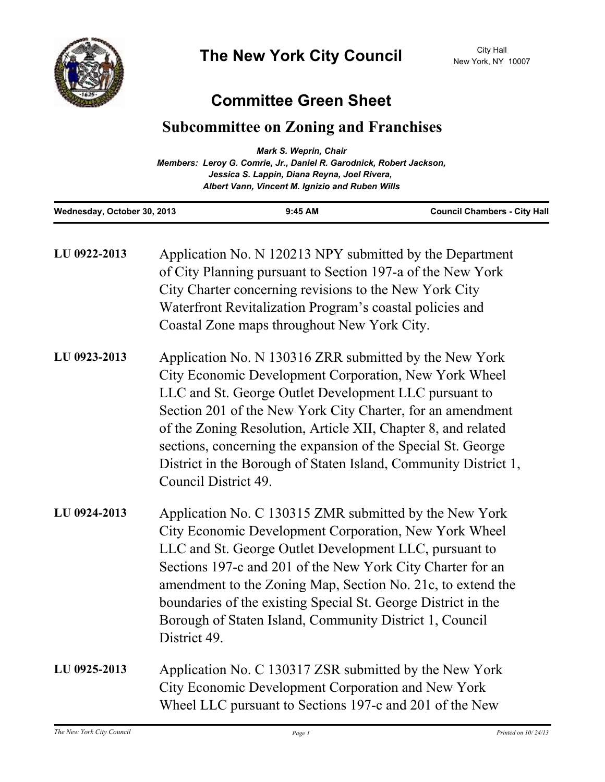

## **Committee Green Sheet**

## **Subcommittee on Zoning and Franchises**

|                             | Mark S. Weprin, Chair                                               |                                     |
|-----------------------------|---------------------------------------------------------------------|-------------------------------------|
|                             | Members: Leroy G. Comrie, Jr., Daniel R. Garodnick, Robert Jackson, |                                     |
|                             | Jessica S. Lappin, Diana Reyna, Joel Rivera,                        |                                     |
|                             | Albert Vann, Vincent M. Ignizio and Ruben Wills                     |                                     |
| Wednesday, October 30, 2013 | $9:45$ AM                                                           | <b>Council Chambers - City Hall</b> |

| LU 0922-2013 | Application No. N 120213 NPY submitted by the Department<br>of City Planning pursuant to Section 197-a of the New York<br>City Charter concerning revisions to the New York City<br>Waterfront Revitalization Program's coastal policies and<br>Coastal Zone maps throughout New York City.                                                                                                                                                                        |
|--------------|--------------------------------------------------------------------------------------------------------------------------------------------------------------------------------------------------------------------------------------------------------------------------------------------------------------------------------------------------------------------------------------------------------------------------------------------------------------------|
| LU 0923-2013 | Application No. N 130316 ZRR submitted by the New York<br>City Economic Development Corporation, New York Wheel<br>LLC and St. George Outlet Development LLC pursuant to<br>Section 201 of the New York City Charter, for an amendment<br>of the Zoning Resolution, Article XII, Chapter 8, and related<br>sections, concerning the expansion of the Special St. George<br>District in the Borough of Staten Island, Community District 1,<br>Council District 49. |
| LU 0924-2013 | Application No. C 130315 ZMR submitted by the New York<br>City Economic Development Corporation, New York Wheel<br>LLC and St. George Outlet Development LLC, pursuant to<br>Sections 197-c and 201 of the New York City Charter for an<br>amendment to the Zoning Map, Section No. 21c, to extend the<br>boundaries of the existing Special St. George District in the<br>Borough of Staten Island, Community District 1, Council<br>District 49.                 |
| LU 0925-2013 | Application No. C 130317 ZSR submitted by the New York<br>City Economic Development Corporation and New York<br>Wheel LLC pursuant to Sections 197-c and 201 of the New                                                                                                                                                                                                                                                                                            |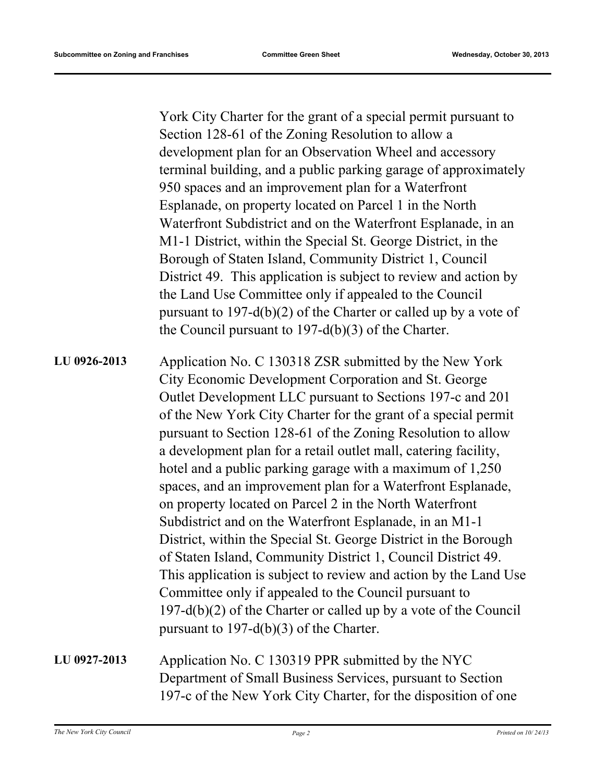York City Charter for the grant of a special permit pursuant to Section 128-61 of the Zoning Resolution to allow a development plan for an Observation Wheel and accessory terminal building, and a public parking garage of approximately 950 spaces and an improvement plan for a Waterfront Esplanade, on property located on Parcel 1 in the North Waterfront Subdistrict and on the Waterfront Esplanade, in an M1-1 District, within the Special St. George District, in the Borough of Staten Island, Community District 1, Council District 49. This application is subject to review and action by the Land Use Committee only if appealed to the Council pursuant to 197-d(b)(2) of the Charter or called up by a vote of the Council pursuant to 197-d(b)(3) of the Charter. Application No. C 130318 ZSR submitted by the New York City Economic Development Corporation and St. George Outlet Development LLC pursuant to Sections 197-c and 201 of the New York City Charter for the grant of a special permit pursuant to Section 128-61 of the Zoning Resolution to allow a development plan for a retail outlet mall, catering facility, hotel and a public parking garage with a maximum of 1,250 spaces, and an improvement plan for a Waterfront Esplanade, on property located on Parcel 2 in the North Waterfront Subdistrict and on the Waterfront Esplanade, in an M1-1 District, within the Special St. George District in the Borough of Staten Island, Community District 1, Council District 49. This application is subject to review and action by the Land Use Committee only if appealed to the Council pursuant to 197-d(b)(2) of the Charter or called up by a vote of the Council pursuant to 197-d(b)(3) of the Charter. **LU 0926-2013**

## Application No. C 130319 PPR submitted by the NYC Department of Small Business Services, pursuant to Section 197-c of the New York City Charter, for the disposition of one **LU 0927-2013**